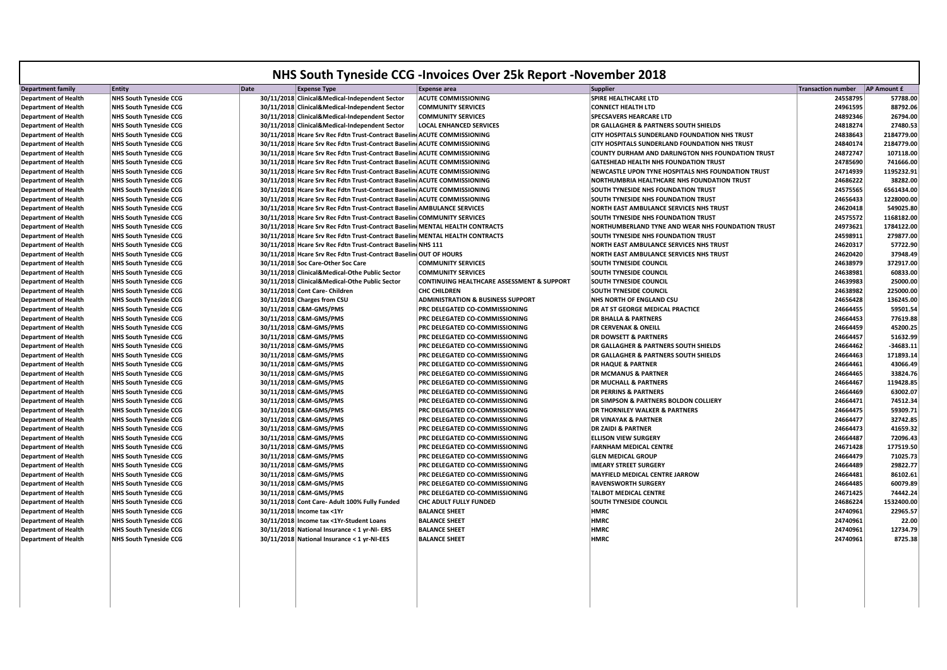| <b>Department family</b>                                                                  | Entity                        | Date<br><b>Expense Type</b>                                                  | <b>Expense area</b>                                   | <b>Supplier</b>                                       | <b>Transaction number</b> | AP Amount £ |
|-------------------------------------------------------------------------------------------|-------------------------------|------------------------------------------------------------------------------|-------------------------------------------------------|-------------------------------------------------------|---------------------------|-------------|
| <b>Department of Health</b>                                                               | <b>NHS South Tyneside CCG</b> | 30/11/2018 Clinical&Medical-Independent Sector                               | <b>ACUTE COMMISSIONING</b>                            | SPIRE HEALTHCARE LTD                                  | 24558795                  | 57788.00    |
| <b>Department of Health</b>                                                               | NHS South Tyneside CCG        | 30/11/2018 Clinical&Medical-Independent Sector                               | <b>COMMUNITY SERVICES</b>                             | <b>CONNECT HEALTH LTD</b>                             | 24961595                  | 88792.06    |
| <b>Department of Health</b>                                                               | <b>NHS South Tyneside CCG</b> | 30/11/2018 Clinical&Medical-Independent Sector                               | <b>COMMUNITY SERVICES</b>                             | <b>SPECSAVERS HEARCARE LTD</b>                        | 24892346                  | 26794.00    |
| <b>Department of Health</b>                                                               | NHS South Tyneside CCG        | 30/11/2018 Clinical&Medical-Independent Sector                               | <b>LOCAL ENHANCED SERVICES</b>                        | DR GALLAGHER & PARTNERS SOUTH SHIELDS                 | 24818274                  | 27480.53    |
| <b>Department of Health</b>                                                               | NHS South Tyneside CCG        | 30/11/2018 Hcare Srv Rec Fdtn Trust-Contract Baselin ACUTE COMMISSIONING     |                                                       | <b>CITY HOSPITALS SUNDERLAND FOUNDATION NHS TRUST</b> | 24838643                  | 2184779.00  |
| <b>Department of Health</b>                                                               | NHS South Tyneside CCG        | 30/11/2018 Hcare Srv Rec Fdtn Trust-Contract Baselin ACUTE COMMISSIONING     |                                                       | CITY HOSPITALS SUNDERLAND FOUNDATION NHS TRUST        | 24840174                  | 2184779.00  |
| <b>Department of Health</b>                                                               | <b>NHS South Tyneside CCG</b> | 30/11/2018 Hcare Srv Rec Fdtn Trust-Contract Baselin ACUTE COMMISSIONING     |                                                       | COUNTY DURHAM AND DARLINGTON NHS FOUNDATION TRUST     | 24872747                  | 107118.00   |
| <b>Department of Health</b>                                                               | NHS South Tyneside CCG        | 30/11/2018 Hcare Srv Rec Fdtn Trust-Contract Baselin ACUTE COMMISSIONING     |                                                       | GATESHEAD HEALTH NHS FOUNDATION TRUST                 | 24785690                  | 741666.00   |
| <b>Department of Health</b>                                                               | NHS South Tyneside CCG        | 30/11/2018 Hcare Srv Rec Fdtn Trust-Contract Baselin ACUTE COMMISSIONING     |                                                       | NEWCASTLE UPON TYNE HOSPITALS NHS FOUNDATION TRUST    | 24714939                  | 1195232.91  |
| <b>Department of Health</b>                                                               | <b>NHS South Tyneside CCG</b> | 30/11/2018 Hcare Srv Rec Fdtn Trust-Contract Baselin ACUTE COMMISSIONING     |                                                       | NORTHUMBRIA HEALTHCARE NHS FOUNDATION TRUST           | 24686222                  | 38282.00    |
| <b>Department of Health</b>                                                               | <b>NHS South Tyneside CCG</b> | 30/11/2018 Hcare Srv Rec Fdtn Trust-Contract Baselin ACUTE COMMISSIONING     |                                                       | <b>SOUTH TYNESIDE NHS FOUNDATION TRUST</b>            | 24575565                  | 6561434.00  |
| <b>Department of Health</b>                                                               | NHS South Tyneside CCG        | 30/11/2018 Hcare Srv Rec Fdtn Trust-Contract Baselin ACUTE COMMISSIONING     |                                                       | <b>SOUTH TYNESIDE NHS FOUNDATION TRUST</b>            | 24656433                  | 1228000.00  |
| <b>Department of Health</b>                                                               | NHS South Tyneside CCG        | 30/11/2018 Hcare Srv Rec Fdtn Trust-Contract Baselin AMBULANCE SERVICES      |                                                       | NORTH EAST AMBULANCE SERVICES NHS TRUST               | 24620418                  | 549025.80   |
| <b>Department of Health</b>                                                               | NHS South Tyneside CCG        | 30/11/2018 Hcare Srv Rec Fdtn Trust-Contract Baselin COMMUNITY SERVICES      |                                                       | <b>SOUTH TYNESIDE NHS FOUNDATION TRUST</b>            | 24575572                  | 1168182.00  |
| <b>Department of Health</b>                                                               | NHS South Tyneside CCG        | 30/11/2018 Hcare Srv Rec Fdtn Trust-Contract Baselin MENTAL HEALTH CONTRACTS |                                                       | NORTHUMBERLAND TYNE AND WEAR NHS FOUNDATION TRUST     | 24973621                  | 1784122.00  |
|                                                                                           |                               | 30/11/2018 Hcare Srv Rec Fdtn Trust-Contract Baselin MENTAL HEALTH CONTRACTS |                                                       | <b>SOUTH TYNESIDE NHS FOUNDATION TRUST</b>            | 24598911                  | 279877.00   |
| <b>Department of Health</b>                                                               | <b>NHS South Tyneside CCG</b> |                                                                              |                                                       |                                                       |                           |             |
| <b>Department of Health</b>                                                               | <b>NHS South Tyneside CCG</b> | 30/11/2018 Hcare Srv Rec Fdtn Trust-Contract Baselin NHS 111                 |                                                       | NORTH EAST AMBULANCE SERVICES NHS TRUST               | 24620317                  | 57722.90    |
| <b>Department of Health</b>                                                               | NHS South Tyneside CCG        | 30/11/2018 Hcare Srv Rec Fdtn Trust-Contract Baselin OUT OF HOURS            |                                                       | NORTH EAST AMBULANCE SERVICES NHS TRUST               | 24620420                  | 37948.49    |
| <b>Department of Health</b>                                                               | NHS South Tyneside CCG        | 30/11/2018 Soc Care-Other Soc Care                                           | <b>COMMUNITY SERVICES</b>                             | <b>SOUTH TYNESIDE COUNCIL</b>                         | 24638979                  | 372917.00   |
| <b>Department of Health</b>                                                               | NHS South Tyneside CCG        | 30/11/2018 Clinical&Medical-Othe Public Sector                               | <b>COMMUNITY SERVICES</b>                             | <b>SOUTH TYNESIDE COUNCIL</b>                         | 24638981                  | 60833.00    |
| <b>Department of Health</b>                                                               | NHS South Tyneside CCG        | 30/11/2018 Clinical&Medical-Othe Public Sector                               | <b>CONTINUING HEALTHCARE ASSESSMENT &amp; SUPPORT</b> | <b>SOUTH TYNESIDE COUNCIL</b>                         | 24639983                  | 25000.00    |
| <b>Department of Health</b>                                                               | NHS South Tyneside CCG        | 30/11/2018 Cont Care- Children                                               | <b>CHC CHILDREN</b>                                   | <b>SOUTH TYNESIDE COUNCIL</b>                         | 24638982                  | 225000.00   |
| <b>Department of Health</b>                                                               | NHS South Tyneside CCG        | 30/11/2018 Charges from CSU                                                  | <b>ADMINISTRATION &amp; BUSINESS SUPPORT</b>          | <b>NHS NORTH OF ENGLAND CSU</b>                       | 24656428                  | 136245.00   |
| <b>Department of Health</b>                                                               | NHS South Tyneside CCG        | 30/11/2018 C&M-GMS/PMS                                                       | PRC DELEGATED CO-COMMISSIONING                        | DR AT ST GEORGE MEDICAL PRACTICE                      | 24664455                  | 59501.54    |
| <b>Department of Health</b>                                                               | NHS South Tyneside CCG        | 30/11/2018 C&M-GMS/PMS                                                       | PRC DELEGATED CO-COMMISSIONING                        | <b>DR BHALLA &amp; PARTNERS</b>                       | 24664453                  | 77619.88    |
| <b>Department of Health</b>                                                               | <b>NHS South Tyneside CCG</b> | 30/11/2018 C&M-GMS/PMS                                                       | PRC DELEGATED CO-COMMISSIONING                        | <b>DR CERVENAK &amp; ONEILL</b>                       | 24664459                  | 45200.25    |
| <b>Department of Health</b>                                                               | NHS South Tyneside CCG        | 30/11/2018 C&M-GMS/PMS                                                       | PRC DELEGATED CO-COMMISSIONING                        | <b>DR DOWSETT &amp; PARTNERS</b>                      | 24664457                  | 51632.99    |
| <b>Department of Health</b>                                                               | NHS South Tyneside CCG        | 30/11/2018 C&M-GMS/PMS                                                       | PRC DELEGATED CO-COMMISSIONING                        | <b>DR GALLAGHER &amp; PARTNERS SOUTH SHIELDS</b>      | 24664462                  | $-34683.11$ |
| <b>Department of Health</b>                                                               | NHS South Tyneside CCG        | 30/11/2018 C&M-GMS/PMS                                                       | <b>PRC DELEGATED CO-COMMISSIONING</b>                 | DR GALLAGHER & PARTNERS SOUTH SHIELDS                 | 24664463                  | 171893.14   |
| <b>Department of Health</b>                                                               | NHS South Tyneside CCG        | 30/11/2018 C&M-GMS/PMS                                                       | PRC DELEGATED CO-COMMISSIONING                        | <b>DR HAQUE &amp; PARTNER</b>                         | 24664461                  | 43066.49    |
| <b>Department of Health</b>                                                               | NHS South Tyneside CCG        | 30/11/2018 C&M-GMS/PMS                                                       | PRC DELEGATED CO-COMMISSIONING                        | <b>DR MCMANUS &amp; PARTNER</b>                       | 24664465                  | 33824.76    |
| <b>Department of Health</b>                                                               | NHS South Tyneside CCG        | 30/11/2018 C&M-GMS/PMS                                                       | PRC DELEGATED CO-COMMISSIONING                        | <b>DR MUCHALL &amp; PARTNERS</b>                      | 24664467                  | 119428.85   |
| <b>Department of Health</b>                                                               | NHS South Tyneside CCG        | 30/11/2018 C&M-GMS/PMS                                                       | PRC DELEGATED CO-COMMISSIONING                        | <b>DR PERRINS &amp; PARTNERS</b>                      | 24664469                  | 63002.07    |
| <b>Department of Health</b>                                                               | NHS South Tyneside CCG        | 30/11/2018 C&M-GMS/PMS                                                       | PRC DELEGATED CO-COMMISSIONING                        | DR SIMPSON & PARTNERS BOLDON COLLIERY                 | 24664471                  | 74512.34    |
| <b>Department of Health</b>                                                               | <b>NHS South Tyneside CCG</b> | 30/11/2018 C&M-GMS/PMS                                                       | <b>PRC DELEGATED CO-COMMISSIONING</b>                 | <b>DR THORNILEY WALKER &amp; PARTNERS</b>             | 24664475                  | 59309.71    |
| <b>Department of Health</b>                                                               | NHS South Tyneside CCG        | 30/11/2018 C&M-GMS/PMS                                                       | PRC DELEGATED CO-COMMISSIONING                        | <b>DR VINAYAK &amp; PARTNER</b>                       | 24664477                  | 32742.85    |
| <b>Department of Health</b>                                                               | NHS South Tyneside CCG        | 30/11/2018 C&M-GMS/PMS                                                       | PRC DELEGATED CO-COMMISSIONING                        | <b>DR ZAIDI &amp; PARTNER</b>                         | 24664473                  | 41659.32    |
|                                                                                           | NHS South Tyneside CCG        | 30/11/2018 C&M-GMS/PMS                                                       |                                                       | <b>ELLISON VIEW SURGERY</b>                           | 24664487                  | 72096.43    |
| <b>Department of Health</b>                                                               |                               |                                                                              | PRC DELEGATED CO-COMMISSIONING                        |                                                       | 24671428                  |             |
| <b>Department of Health</b>                                                               | <b>NHS South Tyneside CCG</b> | 30/11/2018 C&M-GMS/PMS                                                       | PRC DELEGATED CO-COMMISSIONING                        | <b>FARNHAM MEDICAL CENTRE</b>                         |                           | 177519.50   |
| <b>Department of Health</b>                                                               | NHS South Tyneside CCG        | 30/11/2018 C&M-GMS/PMS                                                       | PRC DELEGATED CO-COMMISSIONING                        | <b>GLEN MEDICAL GROUP</b>                             | 24664479                  | 71025.73    |
| <b>Department of Health</b>                                                               | NHS South Tyneside CCG        | 30/11/2018 C&M-GMS/PMS                                                       | PRC DELEGATED CO-COMMISSIONING                        | <b>IMEARY STREET SURGERY</b>                          | 24664489                  | 29822.77    |
| <b>Department of Health</b>                                                               | NHS South Tyneside CCG        | 30/11/2018 C&M-GMS/PMS                                                       | PRC DELEGATED CO-COMMISSIONING                        | MAYFIELD MEDICAL CENTRE JARROW                        | 24664481                  | 86102.61    |
| <b>Department of Health</b>                                                               | NHS South Tyneside CCG        | 30/11/2018 C&M-GMS/PMS                                                       | PRC DELEGATED CO-COMMISSIONING                        | <b>RAVENSWORTH SURGERY</b>                            | 24664485                  | 60079.89    |
| <b>Department of Health</b>                                                               | <b>NHS South Tyneside CCG</b> | 30/11/2018 C&M-GMS/PMS                                                       | PRC DELEGATED CO-COMMISSIONING                        | <b>TALBOT MEDICAL CENTRE</b>                          | 24671425                  | 74442.24    |
| <b>Department of Health</b>                                                               | NHS South Tyneside CCG        | 30/11/2018 Cont Care- Adult 100% Fully Funded                                | <b>CHC ADULT FULLY FUNDED</b>                         | <b>SOUTH TYNESIDE COUNCIL</b>                         | 24686224                  | 1532400.00  |
| <b>Department of Health</b>                                                               | NHS South Tyneside CCG        | 30/11/2018 Income tax <1Yr                                                   | <b>BALANCE SHEET</b>                                  | <b>HMRC</b>                                           | 24740961                  | 22965.57    |
|                                                                                           | NHS South Tyneside CCG        | 30/11/2018 Income tax <1Yr-Student Loans                                     | <b>BALANCE SHEET</b>                                  | <b>HMRC</b>                                           | 24740961                  | 22.00       |
|                                                                                           | <b>NHS South Tyneside CCG</b> | 30/11/2018 National Insurance < 1 yr-NI- ERS                                 | <b>BALANCE SHEET</b>                                  | <b>HMRC</b>                                           | 24740961                  | 12734.79    |
|                                                                                           | <b>NHS South Tyneside CCG</b> | 30/11/2018 National Insurance < 1 yr-NI-EES                                  | <b>BALANCE SHEET</b>                                  | <b>HMRC</b>                                           | 24740961                  | 8725.38     |
| <b>Department of Health</b><br><b>Department of Health</b><br><b>Department of Health</b> |                               |                                                                              |                                                       |                                                       |                           |             |